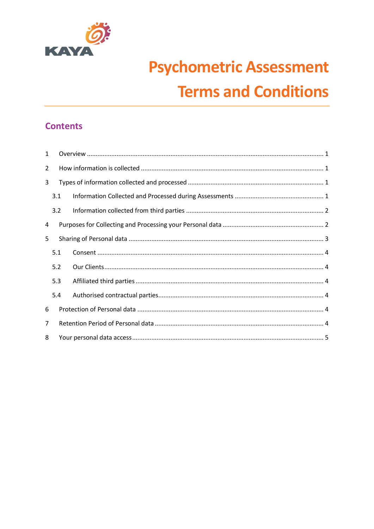

# **Psychometric Assessment Terms and Conditions**

# **Contents**

| $\mathbf{1}$   |     |  |  |
|----------------|-----|--|--|
| $\overline{2}$ |     |  |  |
| 3              |     |  |  |
|                | 3.1 |  |  |
|                | 3.2 |  |  |
| 4              |     |  |  |
| 5              |     |  |  |
|                | 5.1 |  |  |
|                | 5.2 |  |  |
|                | 5.3 |  |  |
|                | 5.4 |  |  |
| 6              |     |  |  |
| $\overline{7}$ |     |  |  |
| 8              |     |  |  |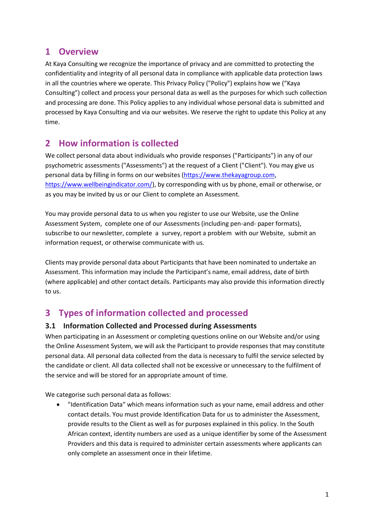## <span id="page-1-0"></span>**1 Overview**

At Kaya Consulting we recognize the importance of privacy and are committed to protecting the confidentiality and integrity of all personal data in compliance with applicable data protection laws in all the countries where we operate. This Privacy Policy ("Policy") explains how we ("Kaya Consulting") collect and process your personal data as well as the purposes for which such collection and processing are done. This Policy applies to any individual whose personal data is submitted and processed by Kaya Consulting and via our websites. We reserve the right to update this Policy at any time.

# <span id="page-1-1"></span>**2 How information is collected**

We collect personal data about individuals who provide responses ("Participants") in any of our psychometric assessments ("Assessments") at the request of a Client ("Client"). You may give us personal data by filling in forms on our websites [\(https://www.thekayagroup.com,](https://www.thekayagroup.com/) [https://www.wellbeingindicator.com/\)](https://www.wellbeingindicator.com/), by corresponding with us by phone, email or otherwise, or as you may be invited by us or our Client to complete an Assessment.

You may provide personal data to us when you register to use our Website, use the Online Assessment System, complete one of our Assessments (including pen-and- paper formats), subscribe to our newsletter, complete a survey, report a problem with our Website, submit an information request, or otherwise communicate with us.

Clients may provide personal data about Participants that have been nominated to undertake an Assessment. This information may include the Participant's name, email address, date of birth (where applicable) and other contact details. Participants may also provide this information directly to us.

# <span id="page-1-2"></span>**3 Types of information collected and processed**

### <span id="page-1-3"></span>**3.1 Information Collected and Processed during Assessments**

When participating in an Assessment or completing questions online on our Website and/or using the Online Assessment System, we will ask the Participant to provide responses that may constitute personal data. All personal data collected from the data is necessary to fulfil the service selected by the candidate or client. All data collected shall not be excessive or unnecessary to the fulfilment of the service and will be stored for an appropriate amount of time.

We categorise such personal data as follows:

• "Identification Data" which means information such as your name, email address and other contact details. You must provide Identification Data for us to administer the Assessment, provide results to the Client as well as for purposes explained in this policy. In the South African context, identity numbers are used as a unique identifier by some of the Assessment Providers and this data is required to administer certain assessments where applicants can only complete an assessment once in their lifetime.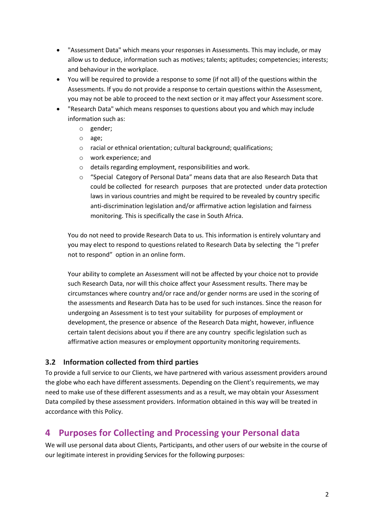- "Assessment Data" which means your responses in Assessments. This may include, or may allow us to deduce, information such as motives; talents; aptitudes; competencies; interests; and behaviour in the workplace.
- You will be required to provide a response to some (if not all) of the questions within the Assessments. If you do not provide a response to certain questions within the Assessment, you may not be able to proceed to the next section or it may affect your Assessment score.
- "Research Data" which means responses to questions about you and which may include information such as:
	- o gender;
	- o age;
	- o racial or ethnical orientation; cultural background; qualifications;
	- o work experience; and
	- o details regarding employment, responsibilities and work.
	- o "Special Category of Personal Data" means data that are also Research Data that could be collected for research purposes that are protected under data protection laws in various countries and might be required to be revealed by country specific anti-discrimination legislation and/or affirmative action legislation and fairness monitoring. This is specifically the case in South Africa.

You do not need to provide Research Data to us. This information is entirely voluntary and you may elect to respond to questions related to Research Data by selecting the "I prefer not to respond" option in an online form.

Your ability to complete an Assessment will not be affected by your choice not to provide such Research Data, nor will this choice affect your Assessment results. There may be circumstances where country and/or race and/or gender norms are used in the scoring of the assessments and Research Data has to be used for such instances. Since the reason for undergoing an Assessment is to test your suitability for purposes of employment or development, the presence or absence of the Research Data might, however, influence certain talent decisions about you if there are any country specific legislation such as affirmative action measures or employment opportunity monitoring requirements.

#### <span id="page-2-0"></span>**3.2 Information collected from third parties**

To provide a full service to our Clients, we have partnered with various assessment providers around the globe who each have different assessments. Depending on the Client's requirements, we may need to make use of these different assessments and as a result, we may obtain your Assessment Data compiled by these assessment providers. Information obtained in this way will be treated in accordance with this Policy.

## <span id="page-2-1"></span>**4 Purposes for Collecting and Processing your Personal data**

We will use personal data about Clients, Participants, and other users of our website in the course of our legitimate interest in providing Services for the following purposes: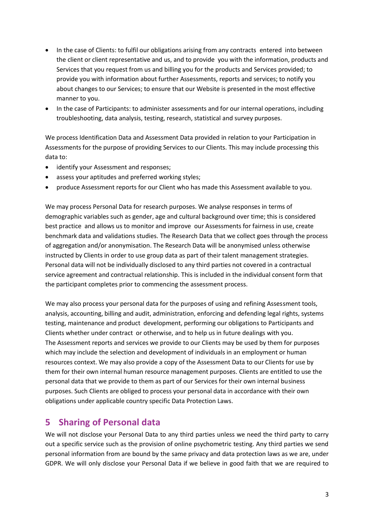- In the case of Clients: to fulfil our obligations arising from any contracts entered into between the client or client representative and us, and to provide you with the information, products and Services that you request from us and billing you for the products and Services provided; to provide you with information about further Assessments, reports and services; to notify you about changes to our Services; to ensure that our Website is presented in the most effective manner to you.
- In the case of Participants: to administer assessments and for our internal operations, including troubleshooting, data analysis, testing, research, statistical and survey purposes.

We process Identification Data and Assessment Data provided in relation to your Participation in Assessments for the purpose of providing Services to our Clients. This may include processing this data to:

- identify your Assessment and responses;
- assess your aptitudes and preferred working styles;
- produce Assessment reports for our Client who has made this Assessment available to you.

We may process Personal Data for research purposes. We analyse responses in terms of demographic variables such as gender, age and cultural background over time; this is considered best practice and allows us to monitor and improve our Assessments for fairness in use, create benchmark data and validations studies. The Research Data that we collect goes through the process of aggregation and/or anonymisation. The Research Data will be anonymised unless otherwise instructed by Clients in order to use group data as part of their talent management strategies. Personal data will not be individually disclosed to any third parties not covered in a contractual service agreement and contractual relationship. This is included in the individual consent form that the participant completes prior to commencing the assessment process.

We may also process your personal data for the purposes of using and refining Assessment tools, analysis, accounting, billing and audit, administration, enforcing and defending legal rights, systems testing, maintenance and product development, performing our obligations to Participants and Clients whether under contract or otherwise, and to help us in future dealings with you. The Assessment reports and services we provide to our Clients may be used by them for purposes which may include the selection and development of individuals in an employment or human resources context. We may also provide a copy of the Assessment Data to our Clients for use by them for their own internal human resource management purposes. Clients are entitled to use the personal data that we provide to them as part of our Services for their own internal business purposes. Such Clients are obliged to process your personal data in accordance with their own obligations under applicable country specific Data Protection Laws.

## <span id="page-3-0"></span>**5 Sharing of Personal data**

We will not disclose your Personal Data to any third parties unless we need the third party to carry out a specific service such as the provision of online psychometric testing. Any third parties we send personal information from are bound by the same privacy and data protection laws as we are, under GDPR. We will only disclose your Personal Data if we believe in good faith that we are required to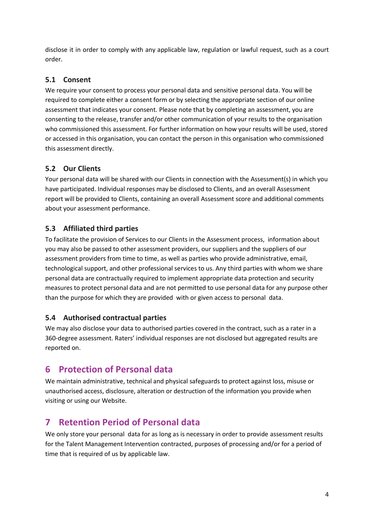disclose it in order to comply with any applicable law, regulation or lawful request, such as a court order.

#### <span id="page-4-0"></span>**5.1 Consent**

We require your consent to process your personal data and sensitive personal data. You will be required to complete either a consent form or by selecting the appropriate section of our online assessment that indicates your consent. Please note that by completing an assessment, you are consenting to the release, transfer and/or other communication of your results to the organisation who commissioned this assessment. For further information on how your results will be used, stored or accessed in this organisation, you can contact the person in this organisation who commissioned this assessment directly.

### <span id="page-4-1"></span>**5.2 Our Clients**

Your personal data will be shared with our Clients in connection with the Assessment(s) in which you have participated. Individual responses may be disclosed to Clients, and an overall Assessment report will be provided to Clients, containing an overall Assessment score and additional comments about your assessment performance.

## <span id="page-4-2"></span>**5.3 Affiliated third parties**

To facilitate the provision of Services to our Clients in the Assessment process, information about you may also be passed to other assessment providers, our suppliers and the suppliers of our assessment providers from time to time, as well as parties who provide administrative, email, technological support, and other professional services to us. Any third parties with whom we share personal data are contractually required to implement appropriate data protection and security measures to protect personal data and are not permitted to use personal data for any purpose other than the purpose for which they are provided with or given access to personal data.

### <span id="page-4-3"></span>**5.4 Authorised contractual parties**

We may also disclose your data to authorised parties covered in the contract, such as a rater in a 360-degree assessment. Raters' individual responses are not disclosed but aggregated results are reported on.

# <span id="page-4-4"></span>**6 Protection of Personal data**

We maintain administrative, technical and physical safeguards to protect against loss, misuse or unauthorised access, disclosure, alteration or destruction of the information you provide when visiting or using our Website.

# <span id="page-4-5"></span>**7 Retention Period of Personal data**

We only store your personal data for as long as is necessary in order to provide assessment results for the Talent Management Intervention contracted, purposes of processing and/or for a period of time that is required of us by applicable law.